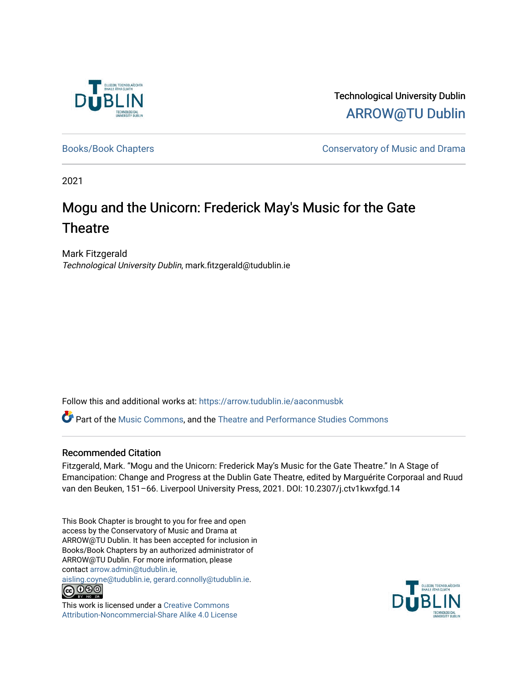

Technological University Dublin [ARROW@TU Dublin](https://arrow.tudublin.ie/) 

[Books/Book Chapters](https://arrow.tudublin.ie/aaconmusbk) **Conservatory of Music and Drama** 

2021

### Mogu and the Unicorn: Frederick May's Music for the Gate **Theatre**

Mark Fitzgerald Technological University Dublin, mark.fitzgerald@tudublin.ie

Follow this and additional works at: [https://arrow.tudublin.ie/aaconmusbk](https://arrow.tudublin.ie/aaconmusbk?utm_source=arrow.tudublin.ie%2Faaconmusbk%2F23&utm_medium=PDF&utm_campaign=PDFCoverPages)

Part of the [Music Commons,](http://network.bepress.com/hgg/discipline/518?utm_source=arrow.tudublin.ie%2Faaconmusbk%2F23&utm_medium=PDF&utm_campaign=PDFCoverPages) and the [Theatre and Performance Studies Commons](http://network.bepress.com/hgg/discipline/552?utm_source=arrow.tudublin.ie%2Faaconmusbk%2F23&utm_medium=PDF&utm_campaign=PDFCoverPages) 

#### Recommended Citation

Fitzgerald, Mark. "Mogu and the Unicorn: Frederick May's Music for the Gate Theatre." In A Stage of Emancipation: Change and Progress at the Dublin Gate Theatre, edited by Marguérite Corporaal and Ruud van den Beuken, 151–66. Liverpool University Press, 2021. DOI: 10.2307/j.ctv1kwxfgd.14

This Book Chapter is brought to you for free and open access by the Conservatory of Music and Drama at ARROW@TU Dublin. It has been accepted for inclusion in Books/Book Chapters by an authorized administrator of ARROW@TU Dublin. For more information, please contact [arrow.admin@tudublin.ie,](mailto:arrow.admin@tudublin.ie,%20aisling.coyne@tudublin.ie,%20gerard.connolly@tudublin.ie) 

[aisling.coyne@tudublin.ie, gerard.connolly@tudublin.ie](mailto:arrow.admin@tudublin.ie,%20aisling.coyne@tudublin.ie,%20gerard.connolly@tudublin.ie).<br>
co 000



This work is licensed under a [Creative Commons](http://creativecommons.org/licenses/by-nc-sa/4.0/) [Attribution-Noncommercial-Share Alike 4.0 License](http://creativecommons.org/licenses/by-nc-sa/4.0/)

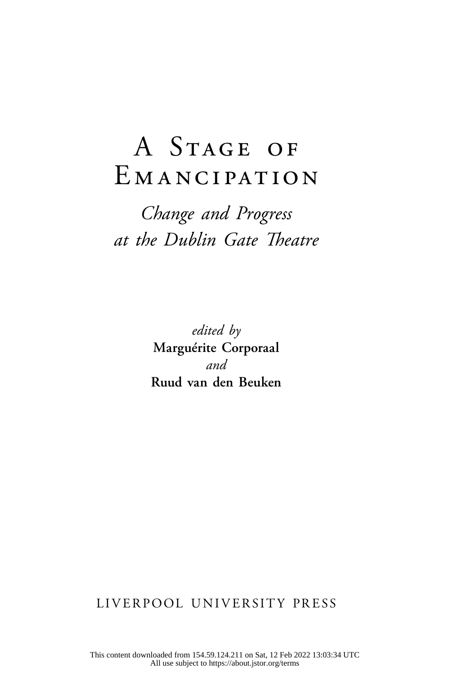# A Stage of EMANCIPATION

## *Change and Progress at the Dublin Gate Theatre*

*edited by* **Marguérite Corporaal**  *and* **Ruud van den Beuken**

LIVERPOOL UNIVERSITY PRESS

This content downloaded from 154.59.124.211 on Sat, 12 Feb 2022 13:03:34 UTC All use subject to https://about.jstor.org/terms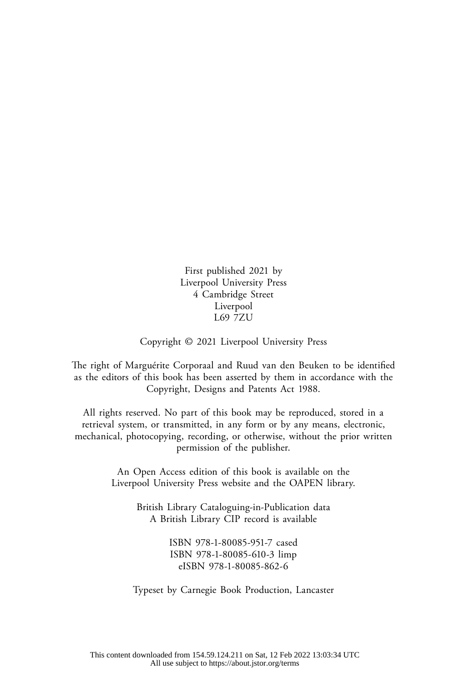First published 2021 by Liverpool University Press 4 Cambridge Street Liverpool L69 7ZU

Copyright © 2021 Liverpool University Press

The right of Marguérite Corporaal and Ruud van den Beuken to be identified as the editors of this book has been asserted by them in accordance with the Copyright, Designs and Patents Act 1988.

All rights reserved. No part of this book may be reproduced, stored in a retrieval system, or transmitted, in any form or by any means, electronic, mechanical, photocopying, recording, or otherwise, without the prior written permission of the publisher.

> An Open Access edition of this book is available on the Liverpool University Press website and the OAPEN library.

> > British Library Cataloguing-in-Publication data A British Library CIP record is available

> > > ISBN 978-1-80085-951-7 cased ISBN 978-1-80085-610-3 limp eISBN 978-1-80085-862-6

Typeset by Carnegie Book Production, Lancaster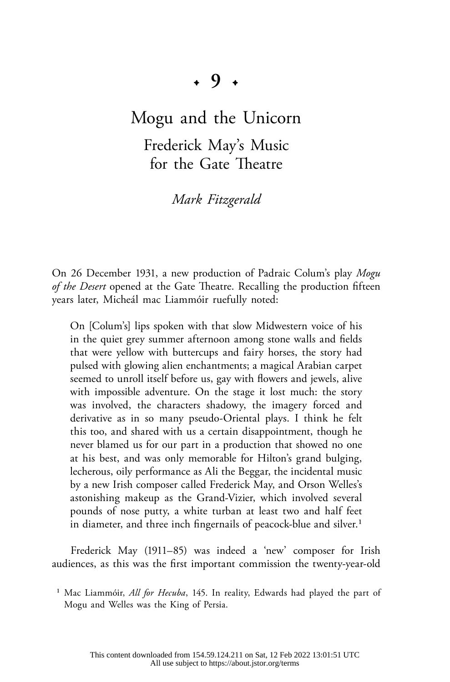### Mogu and the Unicorn

Frederick May's Music for the Gate Theatre

*Mark Fitzgerald*

On 26 December 1931, a new production of Padraic Colum's play *Mogu of the Desert* opened at the Gate Theatre. Recalling the production fifteen years later, Micheál mac Liammóir ruefully noted:

On [Colum's] lips spoken with that slow Midwestern voice of his in the quiet grey summer afternoon among stone walls and fields that were yellow with buttercups and fairy horses, the story had pulsed with glowing alien enchantments; a magical Arabian carpet seemed to unroll itself before us, gay with flowers and jewels, alive with impossible adventure. On the stage it lost much: the story was involved, the characters shadowy, the imagery forced and derivative as in so many pseudo-Oriental plays. I think he felt this too, and shared with us a certain disappointment, though he never blamed us for our part in a production that showed no one at his best, and was only memorable for Hilton's grand bulging, lecherous, oily performance as Ali the Beggar, the incidental music by a new Irish composer called Frederick May, and Orson Welles's astonishing makeup as the Grand-Vizier, which involved several pounds of nose putty, a white turban at least two and half feet in diameter, and three inch fingernails of peacock-blue and silver.<sup>1</sup>

Frederick May (1911–85) was indeed a 'new' composer for Irish audiences, as this was the first important commission the twenty-year-old

<sup>1</sup> Mac Liammóir, *All for Hecuba*, 145. In reality, Edwards had played the part of Mogu and Welles was the King of Persia.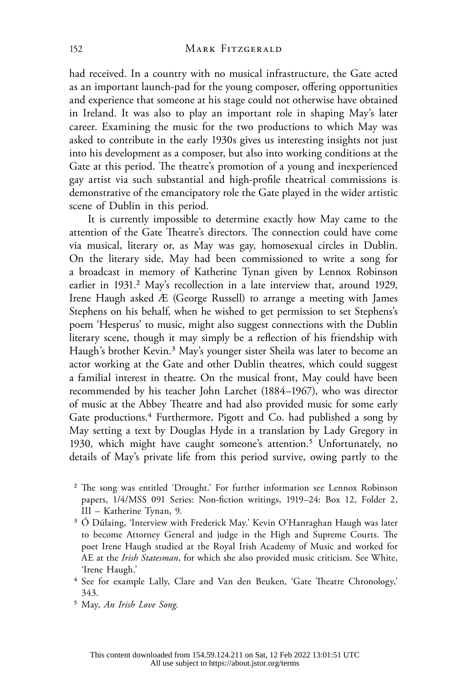had received. In a country with no musical infrastructure, the Gate acted as an important launch-pad for the young composer, offering opportunities and experience that someone at his stage could not otherwise have obtained in Ireland. It was also to play an important role in shaping May's later career. Examining the music for the two productions to which May was asked to contribute in the early 1930s gives us interesting insights not just into his development as a composer, but also into working conditions at the Gate at this period. The theatre's promotion of a young and inexperienced gay artist via such substantial and high-profile theatrical commissions is demonstrative of the emancipatory role the Gate played in the wider artistic scene of Dublin in this period.

It is currently impossible to determine exactly how May came to the attention of the Gate Theatre's directors. The connection could have come via musical, literary or, as May was gay, homosexual circles in Dublin. On the literary side, May had been commissioned to write a song for a broadcast in memory of Katherine Tynan given by Lennox Robinson earlier in 1931.<sup>2</sup> May's recollection in a late interview that, around 1929, Irene Haugh asked Æ (George Russell) to arrange a meeting with James Stephens on his behalf, when he wished to get permission to set Stephens's poem 'Hesperus' to music, might also suggest connections with the Dublin literary scene, though it may simply be a reflection of his friendship with Haugh's brother Kevin.<sup>3</sup> May's younger sister Sheila was later to become an actor working at the Gate and other Dublin theatres, which could suggest a familial interest in theatre. On the musical front, May could have been recommended by his teacher John Larchet (1884–1967), who was director of music at the Abbey Theatre and had also provided music for some early Gate productions.<sup>4</sup> Furthermore, Pigott and Co. had published a song by May setting a text by Douglas Hyde in a translation by Lady Gregory in 1930, which might have caught someone's attention.<sup>5</sup> Unfortunately, no details of May's private life from this period survive, owing partly to the

- 2 The song was entitled 'Drought.' For further information see Lennox Robinson papers, 1/4/MSS 091 Series: Non-fiction writings, 1919–24: Box 12, Folder 2, III – Katherine Tynan, 9.
- 3 Ó Dúlaing, 'Interview with Frederick May.' Kevin O'Hanraghan Haugh was later to become Attorney General and judge in the High and Supreme Courts. The poet Irene Haugh studied at the Royal Irish Academy of Music and worked for AE at the *Irish Statesman*, for which she also provided music criticism. See White, 'Irene Haugh.'
- 4 See for example Lally, Clare and Van den Beuken, 'Gate Theatre Chronology,' 343.
- 5 May, *An Irish Love Song*.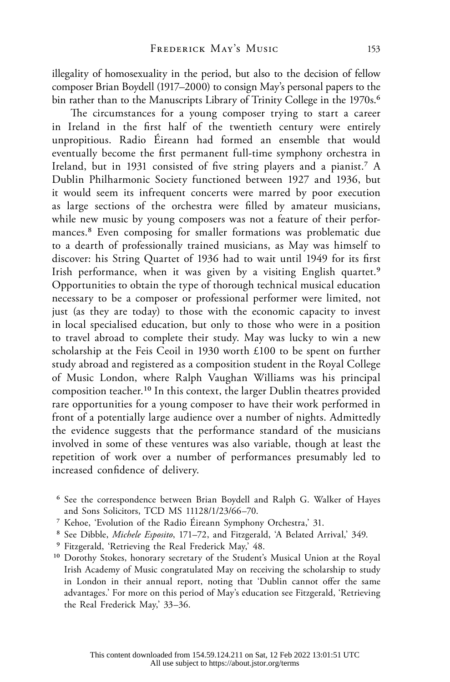illegality of homosexuality in the period, but also to the decision of fellow composer Brian Boydell (1917–2000) to consign May's personal papers to the bin rather than to the Manuscripts Library of Trinity College in the 1970s.<sup>6</sup>

The circumstances for a young composer trying to start a career in Ireland in the first half of the twentieth century were entirely unpropitious. Radio Éireann had formed an ensemble that would eventually become the first permanent full-time symphony orchestra in Ireland, but in 1931 consisted of five string players and a pianist.<sup>7</sup> A Dublin Philharmonic Society functioned between 1927 and 1936, but it would seem its infrequent concerts were marred by poor execution as large sections of the orchestra were filled by amateur musicians, while new music by young composers was not a feature of their performances.8 Even composing for smaller formations was problematic due to a dearth of professionally trained musicians, as May was himself to discover: his String Quartet of 1936 had to wait until 1949 for its first Irish performance, when it was given by a visiting English quartet.<sup>9</sup> Opportunities to obtain the type of thorough technical musical education necessary to be a composer or professional performer were limited, not just (as they are today) to those with the economic capacity to invest in local specialised education, but only to those who were in a position to travel abroad to complete their study. May was lucky to win a new scholarship at the Feis Ceoil in 1930 worth £100 to be spent on further study abroad and registered as a composition student in the Royal College of Music London, where Ralph Vaughan Williams was his principal composition teacher.10 In this context, the larger Dublin theatres provided rare opportunities for a young composer to have their work performed in front of a potentially large audience over a number of nights. Admittedly the evidence suggests that the performance standard of the musicians involved in some of these ventures was also variable, though at least the repetition of work over a number of performances presumably led to increased confidence of delivery.

- 6 See the correspondence between Brian Boydell and Ralph G. Walker of Hayes and Sons Solicitors, TCD MS 11128/1/23/66–70.
- 7 Kehoe, 'Evolution of the Radio Éireann Symphony Orchestra,' 31.
- 8 See Dibble, *Michele Esposito*, 171–72, and Fitzgerald, 'A Belated Arrival,' 349.
- 9 Fitzgerald, 'Retrieving the Real Frederick May,' 48.
- <sup>10</sup> Dorothy Stokes, honorary secretary of the Student's Musical Union at the Royal Irish Academy of Music congratulated May on receiving the scholarship to study in London in their annual report, noting that 'Dublin cannot offer the same advantages.' For more on this period of May's education see Fitzgerald, 'Retrieving the Real Frederick May,' 33–36.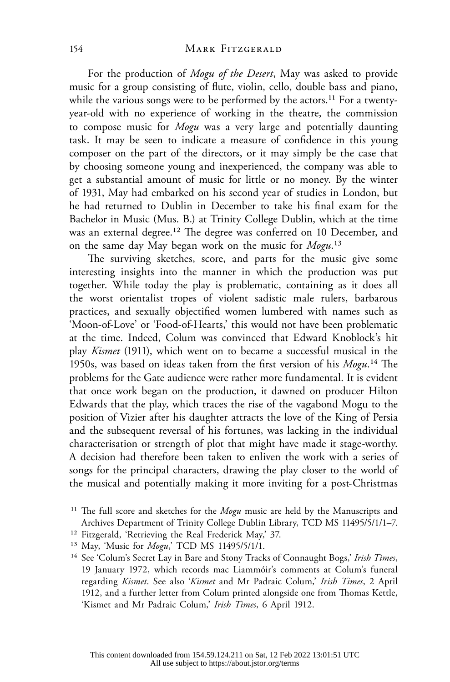For the production of *Mogu of the Desert*, May was asked to provide music for a group consisting of flute, violin, cello, double bass and piano, while the various songs were to be performed by the actors.<sup>11</sup> For a twentyyear-old with no experience of working in the theatre, the commission to compose music for *Mogu* was a very large and potentially daunting task. It may be seen to indicate a measure of confidence in this young composer on the part of the directors, or it may simply be the case that by choosing someone young and inexperienced, the company was able to get a substantial amount of music for little or no money. By the winter of 1931, May had embarked on his second year of studies in London, but he had returned to Dublin in December to take his final exam for the Bachelor in Music (Mus. B.) at Trinity College Dublin, which at the time was an external degree.<sup>12</sup> The degree was conferred on 10 December, and on the same day May began work on the music for *Mogu*.13

The surviving sketches, score, and parts for the music give some interesting insights into the manner in which the production was put together. While today the play is problematic, containing as it does all the worst orientalist tropes of violent sadistic male rulers, barbarous practices, and sexually objectified women lumbered with names such as 'Moon-of-Love' or 'Food-of-Hearts,' this would not have been problematic at the time. Indeed, Colum was convinced that Edward Knoblock's hit play *Kismet* (1911), which went on to became a successful musical in the 1950s, was based on ideas taken from the first version of his *Mogu*.14 The problems for the Gate audience were rather more fundamental. It is evident that once work began on the production, it dawned on producer Hilton Edwards that the play, which traces the rise of the vagabond Mogu to the position of Vizier after his daughter attracts the love of the King of Persia and the subsequent reversal of his fortunes, was lacking in the individual characterisation or strength of plot that might have made it stage-worthy. A decision had therefore been taken to enliven the work with a series of songs for the principal characters, drawing the play closer to the world of the musical and potentially making it more inviting for a post-Christmas

<sup>11</sup> The full score and sketches for the *Mogu* music are held by the Manuscripts and Archives Department of Trinity College Dublin Library, TCD MS 11495/5/1/1–7.

<sup>12</sup> Fitzgerald, 'Retrieving the Real Frederick May,' 37.

<sup>13</sup> May, 'Music for *Mogu*,' TCD MS 11495/5/1/1.

<sup>14</sup> See 'Colum's Secret Lay in Bare and Stony Tracks of Connaught Bogs,' *Irish Times*, 19 January 1972, which records mac Liammóir's comments at Colum's funeral regarding *Kismet*. See also '*Kismet* and Mr Padraic Colum,' *Irish Times*, 2 April 1912, and a further letter from Colum printed alongside one from Thomas Kettle, 'Kismet and Mr Padraic Colum,' *Irish Times*, 6 April 1912.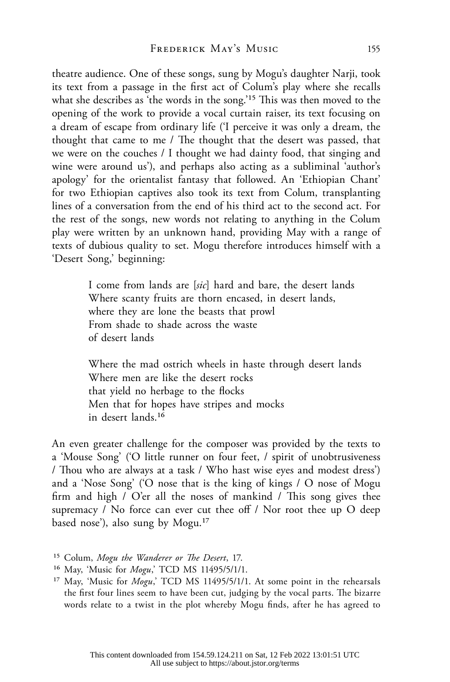theatre audience. One of these songs, sung by Mogu's daughter Narji, took its text from a passage in the first act of Colum's play where she recalls what she describes as 'the words in the song.'<sup>15</sup> This was then moved to the opening of the work to provide a vocal curtain raiser, its text focusing on a dream of escape from ordinary life ('I perceive it was only a dream, the thought that came to me / The thought that the desert was passed, that we were on the couches / I thought we had dainty food, that singing and wine were around us'), and perhaps also acting as a subliminal 'author's apology' for the orientalist fantasy that followed. An 'Ethiopian Chant' for two Ethiopian captives also took its text from Colum, transplanting lines of a conversation from the end of his third act to the second act. For the rest of the songs, new words not relating to anything in the Colum play were written by an unknown hand, providing May with a range of texts of dubious quality to set. Mogu therefore introduces himself with a 'Desert Song,' beginning:

> I come from lands are [*sic*] hard and bare, the desert lands Where scanty fruits are thorn encased, in desert lands, where they are lone the beasts that prowl From shade to shade across the waste of desert lands

Where the mad ostrich wheels in haste through desert lands Where men are like the desert rocks that yield no herbage to the flocks Men that for hopes have stripes and mocks in desert lands.16

An even greater challenge for the composer was provided by the texts to a 'Mouse Song' ('O little runner on four feet, / spirit of unobtrusiveness / Thou who are always at a task / Who hast wise eyes and modest dress') and a 'Nose Song' ('O nose that is the king of kings / O nose of Mogu firm and high / O'er all the noses of mankind / This song gives thee supremacy / No force can ever cut thee off / Nor root thee up O deep based nose'), also sung by Mogu.17

- 16 May, 'Music for *Mogu*,' TCD MS 11495/5/1/1.
- 17 May, 'Music for *Mogu*,' TCD MS 11495/5/1/1. At some point in the rehearsals the first four lines seem to have been cut, judging by the vocal parts. The bizarre words relate to a twist in the plot whereby Mogu finds, after he has agreed to

<sup>15</sup> Colum, *Mogu the Wanderer or The Desert*, 17.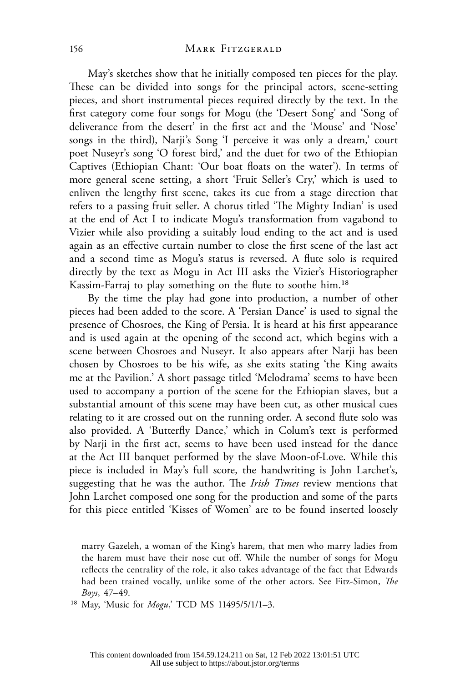May's sketches show that he initially composed ten pieces for the play. These can be divided into songs for the principal actors, scene-setting pieces, and short instrumental pieces required directly by the text. In the first category come four songs for Mogu (the 'Desert Song' and 'Song of deliverance from the desert' in the first act and the 'Mouse' and 'Nose' songs in the third), Narji's Song 'I perceive it was only a dream,' court poet Nuseyr's song 'O forest bird,' and the duet for two of the Ethiopian Captives (Ethiopian Chant: 'Our boat floats on the water'). In terms of more general scene setting, a short 'Fruit Seller's Cry,' which is used to enliven the lengthy first scene, takes its cue from a stage direction that refers to a passing fruit seller. A chorus titled 'The Mighty Indian' is used at the end of Act I to indicate Mogu's transformation from vagabond to Vizier while also providing a suitably loud ending to the act and is used again as an effective curtain number to close the first scene of the last act and a second time as Mogu's status is reversed. A flute solo is required directly by the text as Mogu in Act III asks the Vizier's Historiographer Kassim-Farraj to play something on the flute to soothe him.18

By the time the play had gone into production, a number of other pieces had been added to the score. A 'Persian Dance' is used to signal the presence of Chosroes, the King of Persia. It is heard at his first appearance and is used again at the opening of the second act, which begins with a scene between Chosroes and Nuseyr. It also appears after Narji has been chosen by Chosroes to be his wife, as she exits stating 'the King awaits me at the Pavilion.' A short passage titled 'Melodrama' seems to have been used to accompany a portion of the scene for the Ethiopian slaves, but a substantial amount of this scene may have been cut, as other musical cues relating to it are crossed out on the running order. A second flute solo was also provided. A 'Butterfly Dance,' which in Colum's text is performed by Narji in the first act, seems to have been used instead for the dance at the Act III banquet performed by the slave Moon-of-Love. While this piece is included in May's full score, the handwriting is John Larchet's, suggesting that he was the author. The *Irish Times* review mentions that John Larchet composed one song for the production and some of the parts for this piece entitled 'Kisses of Women' are to be found inserted loosely

marry Gazeleh, a woman of the King's harem, that men who marry ladies from the harem must have their nose cut off. While the number of songs for Mogu reflects the centrality of the role, it also takes advantage of the fact that Edwards had been trained vocally, unlike some of the other actors. See Fitz-Simon, *The Boys*, 47–49.

18 May, 'Music for *Mogu*,' TCD MS 11495/5/1/1–3.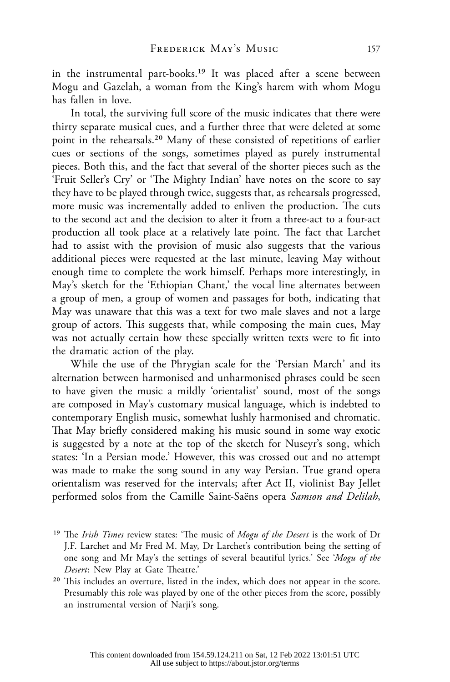in the instrumental part-books.19 It was placed after a scene between Mogu and Gazelah, a woman from the King's harem with whom Mogu has fallen in love.

In total, the surviving full score of the music indicates that there were thirty separate musical cues, and a further three that were deleted at some point in the rehearsals.20 Many of these consisted of repetitions of earlier cues or sections of the songs, sometimes played as purely instrumental pieces. Both this, and the fact that several of the shorter pieces such as the 'Fruit Seller's Cry' or 'The Mighty Indian' have notes on the score to say they have to be played through twice, suggests that, as rehearsals progressed, more music was incrementally added to enliven the production. The cuts to the second act and the decision to alter it from a three-act to a four-act production all took place at a relatively late point. The fact that Larchet had to assist with the provision of music also suggests that the various additional pieces were requested at the last minute, leaving May without enough time to complete the work himself. Perhaps more interestingly, in May's sketch for the 'Ethiopian Chant,' the vocal line alternates between a group of men, a group of women and passages for both, indicating that May was unaware that this was a text for two male slaves and not a large group of actors. This suggests that, while composing the main cues, May was not actually certain how these specially written texts were to fit into the dramatic action of the play.

While the use of the Phrygian scale for the 'Persian March' and its alternation between harmonised and unharmonised phrases could be seen to have given the music a mildly 'orientalist' sound, most of the songs are composed in May's customary musical language, which is indebted to contemporary English music, somewhat lushly harmonised and chromatic. That May briefly considered making his music sound in some way exotic is suggested by a note at the top of the sketch for Nuseyr's song, which states: 'In a Persian mode.' However, this was crossed out and no attempt was made to make the song sound in any way Persian. True grand opera orientalism was reserved for the intervals; after Act II, violinist Bay Jellet performed solos from the Camille Saint-Saëns opera *Samson and Delilah*,

- 19 The *Irish Times* review states: 'The music of *Mogu of the Desert* is the work of Dr J.F. Larchet and Mr Fred M. May, Dr Larchet's contribution being the setting of one song and Mr May's the settings of several beautiful lyrics.' See '*Mogu of the Desert*: New Play at Gate Theatre.'
- 20 This includes an overture, listed in the index, which does not appear in the score. Presumably this role was played by one of the other pieces from the score, possibly an instrumental version of Narji's song.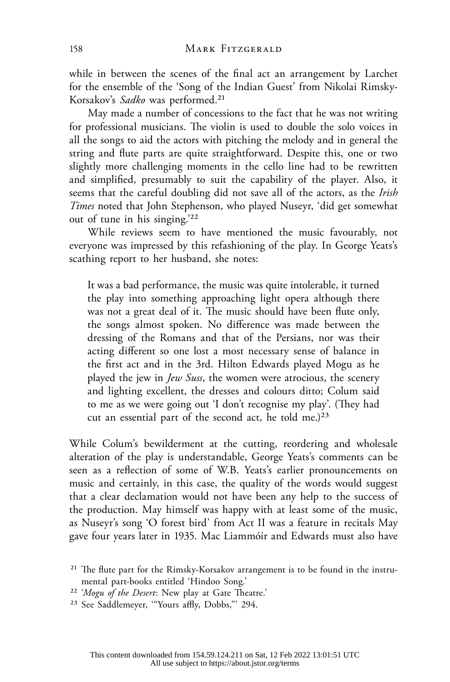while in between the scenes of the final act an arrangement by Larchet for the ensemble of the 'Song of the Indian Guest' from Nikolai Rimsky-Korsakov's *Sadko* was performed.21

May made a number of concessions to the fact that he was not writing for professional musicians. The violin is used to double the solo voices in all the songs to aid the actors with pitching the melody and in general the string and flute parts are quite straightforward. Despite this, one or two slightly more challenging moments in the cello line had to be rewritten and simplified, presumably to suit the capability of the player. Also, it seems that the careful doubling did not save all of the actors, as the *Irish Times* noted that John Stephenson, who played Nuseyr, 'did get somewhat out of tune in his singing.'22

While reviews seem to have mentioned the music favourably, not everyone was impressed by this refashioning of the play. In George Yeats's scathing report to her husband, she notes:

It was a bad performance, the music was quite intolerable, it turned the play into something approaching light opera although there was not a great deal of it. The music should have been flute only, the songs almost spoken. No difference was made between the dressing of the Romans and that of the Persians, nor was their acting different so one lost a most necessary sense of balance in the first act and in the 3rd. Hilton Edwards played Mogu as he played the jew in *Jew Suss*, the women were atrocious, the scenery and lighting excellent, the dresses and colours ditto; Colum said to me as we were going out 'I don't recognise my play'. (They had cut an essential part of the second act, he told me.) $23$ 

While Colum's bewilderment at the cutting, reordering and wholesale alteration of the play is understandable, George Yeats's comments can be seen as a reflection of some of W.B. Yeats's earlier pronouncements on music and certainly, in this case, the quality of the words would suggest that a clear declamation would not have been any help to the success of the production. May himself was happy with at least some of the music, as Nuseyr's song 'O forest bird' from Act II was a feature in recitals May gave four years later in 1935. Mac Liammóir and Edwards must also have

- 22 '*Mogu of the Desert*: New play at Gate Theatre.'
- 23 See Saddlemeyer, '"Yours affly, Dobbs,"' 294.

<sup>21</sup> The flute part for the Rimsky-Korsakov arrangement is to be found in the instrumental part-books entitled 'Hindoo Song.'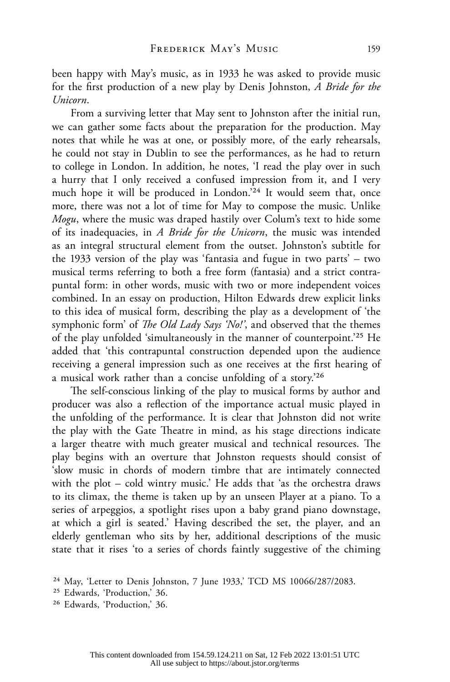been happy with May's music, as in 1933 he was asked to provide music for the first production of a new play by Denis Johnston, *A Bride for the Unicorn*.

From a surviving letter that May sent to Johnston after the initial run, we can gather some facts about the preparation for the production. May notes that while he was at one, or possibly more, of the early rehearsals, he could not stay in Dublin to see the performances, as he had to return to college in London. In addition, he notes, 'I read the play over in such a hurry that I only received a confused impression from it, and I very much hope it will be produced in London.'24 It would seem that, once more, there was not a lot of time for May to compose the music. Unlike *Mogu*, where the music was draped hastily over Colum's text to hide some of its inadequacies, in *A Bride for the Unicorn*, the music was intended as an integral structural element from the outset. Johnston's subtitle for the 1933 version of the play was 'fantasia and fugue in two parts' – two musical terms referring to both a free form (fantasia) and a strict contrapuntal form: in other words, music with two or more independent voices combined. In an essay on production, Hilton Edwards drew explicit links to this idea of musical form, describing the play as a development of 'the symphonic form' of *The Old Lady Says 'No!'*, and observed that the themes of the play unfolded 'simultaneously in the manner of counterpoint.'25 He added that 'this contrapuntal construction depended upon the audience receiving a general impression such as one receives at the first hearing of a musical work rather than a concise unfolding of a story.'26

The self-conscious linking of the play to musical forms by author and producer was also a reflection of the importance actual music played in the unfolding of the performance. It is clear that Johnston did not write the play with the Gate Theatre in mind, as his stage directions indicate a larger theatre with much greater musical and technical resources. The play begins with an overture that Johnston requests should consist of 'slow music in chords of modern timbre that are intimately connected with the plot – cold wintry music.' He adds that 'as the orchestra draws to its climax, the theme is taken up by an unseen Player at a piano. To a series of arpeggios, a spotlight rises upon a baby grand piano downstage, at which a girl is seated.' Having described the set, the player, and an elderly gentleman who sits by her, additional descriptions of the music state that it rises 'to a series of chords faintly suggestive of the chiming

<sup>&</sup>lt;sup>24</sup> May, 'Letter to Denis Johnston, 7 June 1933,' TCD MS 10066/287/2083.

<sup>25</sup> Edwards, 'Production,' 36.

<sup>26</sup> Edwards, 'Production,' 36.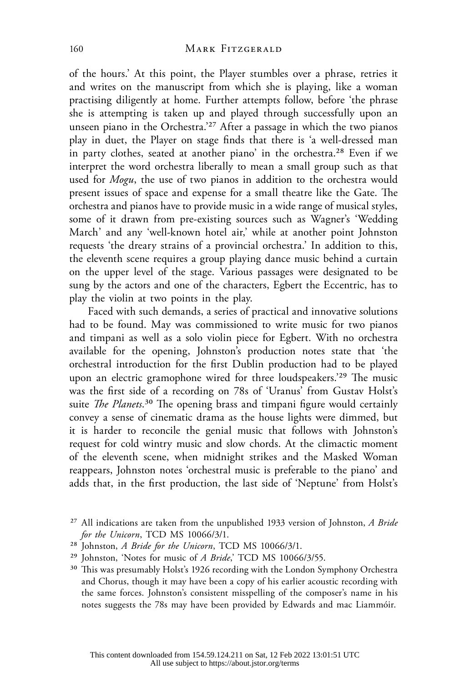of the hours.' At this point, the Player stumbles over a phrase, retries it and writes on the manuscript from which she is playing, like a woman practising diligently at home. Further attempts follow, before 'the phrase she is attempting is taken up and played through successfully upon an unseen piano in the Orchestra.'<sup>27</sup> After a passage in which the two pianos play in duet, the Player on stage finds that there is 'a well-dressed man in party clothes, seated at another piano' in the orchestra.28 Even if we interpret the word orchestra liberally to mean a small group such as that used for *Mogu*, the use of two pianos in addition to the orchestra would present issues of space and expense for a small theatre like the Gate. The orchestra and pianos have to provide music in a wide range of musical styles, some of it drawn from pre-existing sources such as Wagner's 'Wedding March' and any 'well-known hotel air,' while at another point Johnston requests 'the dreary strains of a provincial orchestra.' In addition to this, the eleventh scene requires a group playing dance music behind a curtain on the upper level of the stage. Various passages were designated to be sung by the actors and one of the characters, Egbert the Eccentric, has to play the violin at two points in the play.

Faced with such demands, a series of practical and innovative solutions had to be found. May was commissioned to write music for two pianos and timpani as well as a solo violin piece for Egbert. With no orchestra available for the opening, Johnston's production notes state that 'the orchestral introduction for the first Dublin production had to be played upon an electric gramophone wired for three loudspeakers.'29 The music was the first side of a recording on 78s of 'Uranus' from Gustav Holst's suite *The Planets*.30 The opening brass and timpani figure would certainly convey a sense of cinematic drama as the house lights were dimmed, but it is harder to reconcile the genial music that follows with Johnston's request for cold wintry music and slow chords. At the climactic moment of the eleventh scene, when midnight strikes and the Masked Woman reappears, Johnston notes 'orchestral music is preferable to the piano' and adds that, in the first production, the last side of 'Neptune' from Holst's

<sup>27</sup> All indications are taken from the unpublished 1933 version of Johnston, *A Bride for the Unicorn*, TCD MS 10066/3/1.

<sup>28</sup> Johnston, *A Bride for the Unicorn*, TCD MS 10066/3/1.

<sup>29</sup> Johnston, 'Notes for music of *A Bride*,' TCD MS 10066/3/55.

<sup>&</sup>lt;sup>30</sup> This was presumably Holst's 1926 recording with the London Symphony Orchestra and Chorus, though it may have been a copy of his earlier acoustic recording with the same forces. Johnston's consistent misspelling of the composer's name in his notes suggests the 78s may have been provided by Edwards and mac Liammóir.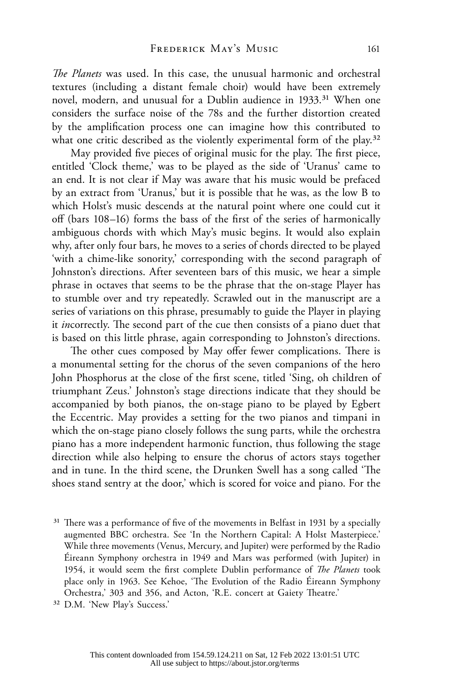*The Planets* was used. In this case, the unusual harmonic and orchestral textures (including a distant female choir) would have been extremely novel, modern, and unusual for a Dublin audience in 1933.<sup>31</sup> When one considers the surface noise of the 78s and the further distortion created by the amplification process one can imagine how this contributed to what one critic described as the violently experimental form of the play.<sup>32</sup>

May provided five pieces of original music for the play. The first piece, entitled 'Clock theme,' was to be played as the side of 'Uranus' came to an end. It is not clear if May was aware that his music would be prefaced by an extract from 'Uranus,' but it is possible that he was, as the low B to which Holst's music descends at the natural point where one could cut it off (bars 108–16) forms the bass of the first of the series of harmonically ambiguous chords with which May's music begins. It would also explain why, after only four bars, he moves to a series of chords directed to be played 'with a chime-like sonority,' corresponding with the second paragraph of Johnston's directions. After seventeen bars of this music, we hear a simple phrase in octaves that seems to be the phrase that the on-stage Player has to stumble over and try repeatedly. Scrawled out in the manuscript are a series of variations on this phrase, presumably to guide the Player in playing it *in*correctly. The second part of the cue then consists of a piano duet that is based on this little phrase, again corresponding to Johnston's directions.

The other cues composed by May offer fewer complications. There is a monumental setting for the chorus of the seven companions of the hero John Phosphorus at the close of the first scene, titled 'Sing, oh children of triumphant Zeus.' Johnston's stage directions indicate that they should be accompanied by both pianos, the on-stage piano to be played by Egbert the Eccentric. May provides a setting for the two pianos and timpani in which the on-stage piano closely follows the sung parts, while the orchestra piano has a more independent harmonic function, thus following the stage direction while also helping to ensure the chorus of actors stays together and in tune. In the third scene, the Drunken Swell has a song called 'The shoes stand sentry at the door,' which is scored for voice and piano. For the

<sup>&</sup>lt;sup>31</sup> There was a performance of five of the movements in Belfast in 1931 by a specially augmented BBC orchestra. See 'In the Northern Capital: A Holst Masterpiece.' While three movements (Venus, Mercury, and Jupiter) were performed by the Radio Éireann Symphony orchestra in 1949 and Mars was performed (with Jupiter) in 1954, it would seem the first complete Dublin performance of *The Planets* took place only in 1963. See Kehoe, 'The Evolution of the Radio Éireann Symphony Orchestra,' 303 and 356, and Acton, 'R.E. concert at Gaiety Theatre.'

<sup>32</sup> D.M. 'New Play's Success.'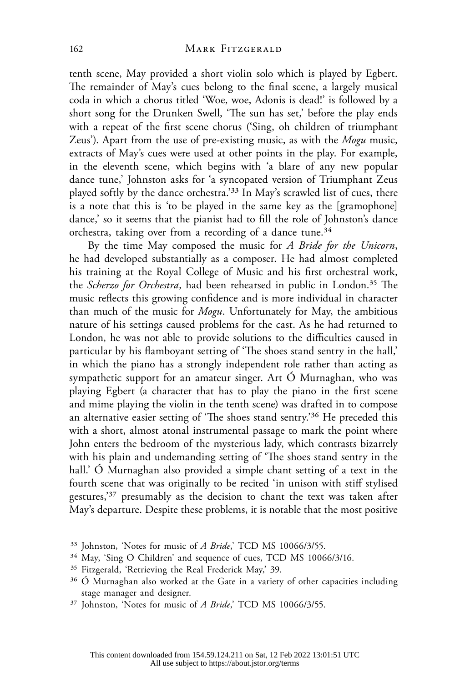tenth scene, May provided a short violin solo which is played by Egbert. The remainder of May's cues belong to the final scene, a largely musical coda in which a chorus titled 'Woe, woe, Adonis is dead!' is followed by a short song for the Drunken Swell, 'The sun has set,' before the play ends with a repeat of the first scene chorus ('Sing, oh children of triumphant Zeus'). Apart from the use of pre-existing music, as with the *Mogu* music, extracts of May's cues were used at other points in the play. For example, in the eleventh scene, which begins with 'a blare of any new popular dance tune,' Johnston asks for 'a syncopated version of Triumphant Zeus played softly by the dance orchestra.'33 In May's scrawled list of cues, there is a note that this is 'to be played in the same key as the [gramophone] dance,' so it seems that the pianist had to fill the role of Johnston's dance orchestra, taking over from a recording of a dance tune.<sup>34</sup>

By the time May composed the music for *A Bride for the Unicorn*, he had developed substantially as a composer. He had almost completed his training at the Royal College of Music and his first orchestral work, the *Scherzo for Orchestra*, had been rehearsed in public in London.35 The music reflects this growing confidence and is more individual in character than much of the music for *Mogu*. Unfortunately for May, the ambitious nature of his settings caused problems for the cast. As he had returned to London, he was not able to provide solutions to the difficulties caused in particular by his flamboyant setting of 'The shoes stand sentry in the hall,' in which the piano has a strongly independent role rather than acting as sympathetic support for an amateur singer. Art Ó Murnaghan, who was playing Egbert (a character that has to play the piano in the first scene and mime playing the violin in the tenth scene) was drafted in to compose an alternative easier setting of 'The shoes stand sentry.'<sup>36</sup> He preceded this with a short, almost atonal instrumental passage to mark the point where John enters the bedroom of the mysterious lady, which contrasts bizarrely with his plain and undemanding setting of 'The shoes stand sentry in the hall.' Ó Murnaghan also provided a simple chant setting of a text in the fourth scene that was originally to be recited 'in unison with stiff stylised gestures,'37 presumably as the decision to chant the text was taken after May's departure. Despite these problems, it is notable that the most positive

- 35 Fitzgerald, 'Retrieving the Real Frederick May,' 39.
- $36$  Ó Murnaghan also worked at the Gate in a variety of other capacities including stage manager and designer.
- <sup>37</sup> Johnston, 'Notes for music of *A Bride*,' TCD MS 10066/3/55.

<sup>33</sup> Johnston, 'Notes for music of *A Bride*,' TCD MS 10066/3/55.

<sup>34</sup> May, 'Sing O Children' and sequence of cues, TCD MS 10066/3/16.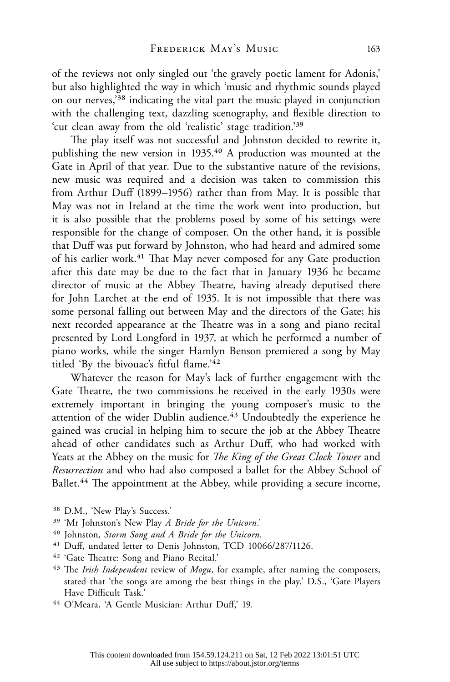of the reviews not only singled out 'the gravely poetic lament for Adonis,' but also highlighted the way in which 'music and rhythmic sounds played on our nerves,'38 indicating the vital part the music played in conjunction with the challenging text, dazzling scenography, and flexible direction to 'cut clean away from the old 'realistic' stage tradition.'39

The play itself was not successful and Johnston decided to rewrite it, publishing the new version in 1935.40 A production was mounted at the Gate in April of that year. Due to the substantive nature of the revisions, new music was required and a decision was taken to commission this from Arthur Duff (1899–1956) rather than from May. It is possible that May was not in Ireland at the time the work went into production, but it is also possible that the problems posed by some of his settings were responsible for the change of composer. On the other hand, it is possible that Duff was put forward by Johnston, who had heard and admired some of his earlier work.<sup>41</sup> That May never composed for any Gate production after this date may be due to the fact that in January 1936 he became director of music at the Abbey Theatre, having already deputised there for John Larchet at the end of 1935. It is not impossible that there was some personal falling out between May and the directors of the Gate; his next recorded appearance at the Theatre was in a song and piano recital presented by Lord Longford in 1937, at which he performed a number of piano works, while the singer Hamlyn Benson premiered a song by May titled 'By the bivouac's fitful flame.'42

Whatever the reason for May's lack of further engagement with the Gate Theatre, the two commissions he received in the early 1930s were extremely important in bringing the young composer's music to the attention of the wider Dublin audience.<sup>43</sup> Undoubtedly the experience he gained was crucial in helping him to secure the job at the Abbey Theatre ahead of other candidates such as Arthur Duff, who had worked with Yeats at the Abbey on the music for *The King of the Great Clock Tower* and *Resurrection* and who had also composed a ballet for the Abbey School of Ballet.<sup>44</sup> The appointment at the Abbey, while providing a secure income,

- 39 'Mr Johnston's New Play *A Bride for the Unicorn*.'
- 40 Johnston, *Storm Song and A Bride for the Unicorn*.
- 41 Duff, undated letter to Denis Johnston, TCD 10066/287/1126.
- 42 'Gate Theatre: Song and Piano Recital.'
- 43 The *Irish Independent* review of *Mogu*, for example, after naming the composers, stated that 'the songs are among the best things in the play.' D.S., 'Gate Players Have Difficult Task.'
- 44 O'Meara, 'A Gentle Musician: Arthur Duff,' 19.

<sup>38</sup> D.M., 'New Play's Success.'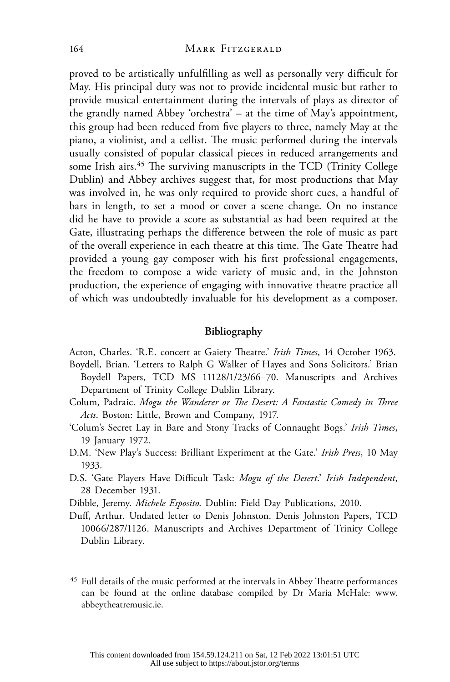proved to be artistically unfulfilling as well as personally very difficult for May. His principal duty was not to provide incidental music but rather to provide musical entertainment during the intervals of plays as director of the grandly named Abbey 'orchestra' – at the time of May's appointment, this group had been reduced from five players to three, namely May at the piano, a violinist, and a cellist. The music performed during the intervals usually consisted of popular classical pieces in reduced arrangements and some Irish airs.<sup>45</sup> The surviving manuscripts in the TCD (Trinity College Dublin) and Abbey archives suggest that, for most productions that May was involved in, he was only required to provide short cues, a handful of bars in length, to set a mood or cover a scene change. On no instance did he have to provide a score as substantial as had been required at the Gate, illustrating perhaps the difference between the role of music as part of the overall experience in each theatre at this time. The Gate Theatre had provided a young gay composer with his first professional engagements, the freedom to compose a wide variety of music and, in the Johnston production, the experience of engaging with innovative theatre practice all of which was undoubtedly invaluable for his development as a composer.

#### **Bibliography**

Acton, Charles. 'R.E. concert at Gaiety Theatre.' *Irish Times*, 14 October 1963.

- Boydell, Brian. 'Letters to Ralph G Walker of Hayes and Sons Solicitors.' Brian Boydell Papers, TCD MS 11128/1/23/66–70. Manuscripts and Archives Department of Trinity College Dublin Library.
- Colum, Padraic. *Mogu the Wanderer or The Desert: A Fantastic Comedy in Three Acts*. Boston: Little, Brown and Company, 1917.
- 'Colum's Secret Lay in Bare and Stony Tracks of Connaught Bogs.' *Irish Times*, 19 January 1972.
- D.M. 'New Play's Success: Brilliant Experiment at the Gate.' *Irish Press*, 10 May 1933.
- D.S. 'Gate Players Have Difficult Task: *Mogu of the Desert*.' *Irish Independent*, 28 December 1931.
- Dibble, Jeremy. *Michele Esposito*. Dublin: Field Day Publications, 2010.
- Duff, Arthur. Undated letter to Denis Johnston. Denis Johnston Papers, TCD 10066/287/1126. Manuscripts and Archives Department of Trinity College Dublin Library.
- 45 Full details of the music performed at the intervals in Abbey Theatre performances can be found at the online database compiled by Dr Maria McHale: [www.](http://www.abbeytheatremusic.ie) [abbeytheatremusic.ie](http://www.abbeytheatremusic.ie).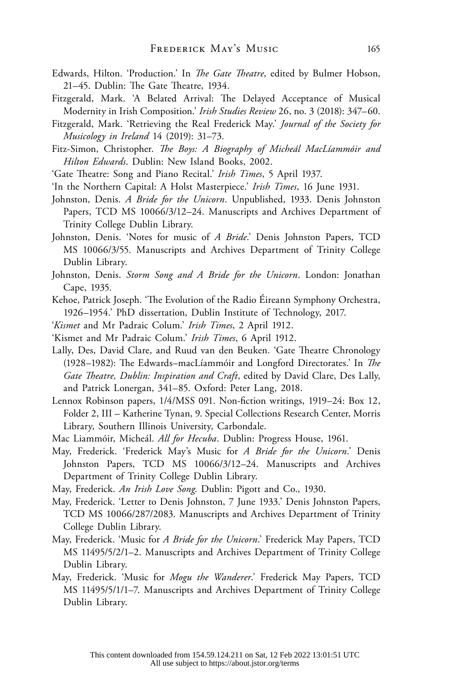- Edwards, Hilton. 'Production.' In *The Gate Theatre*, edited by Bulmer Hobson, 21–45. Dublin: The Gate Theatre, 1934.
- Fitzgerald, Mark. 'A Belated Arrival: The Delayed Acceptance of Musical Modernity in Irish Composition.' *Irish Studies Review* 26, no. 3 (2018): 347–60.
- Fitzgerald, Mark. 'Retrieving the Real Frederick May.' *Journal of the Society for Musicology in Ireland* 14 (2019): 31–73.
- Fitz-Simon, Christopher. *The Boys: A Biography of Micheál MacLíammóir and Hilton Edwards*. Dublin: New Island Books, 2002.
- 'Gate Theatre: Song and Piano Recital.' *Irish Times*, 5 April 1937.
- 'In the Northern Capital: A Holst Masterpiece.' *Irish Times*, 16 June 1931.
- Johnston, Denis. *A Bride for the Unicorn*. Unpublished, 1933. Denis Johnston Papers, TCD MS 10066/3/12–24. Manuscripts and Archives Department of Trinity College Dublin Library.
- Johnston, Denis. 'Notes for music of *A Bride*.' Denis Johnston Papers, TCD MS 10066/3/55. Manuscripts and Archives Department of Trinity College Dublin Library.
- Johnston, Denis. *Storm Song and A Bride for the Unicorn*. London: Jonathan Cape, 1935.
- Kehoe, Patrick Joseph. 'The Evolution of the Radio Éireann Symphony Orchestra, 1926–1954.' PhD dissertation, Dublin Institute of Technology, 2017.
- '*Kismet* and Mr Padraic Colum.' *Irish Times*, 2 April 1912.
- 'Kismet and Mr Padraic Colum.' *Irish Times*, 6 April 1912.
- Lally, Des, David Clare, and Ruud van den Beuken. 'Gate Theatre Chronology (1928–1982): The Edwards–macLíammóir and Longford Directorates.' In *The Gate Theatre, Dublin: Inspiration and Craft*, edited by David Clare, Des Lally, and Patrick Lonergan, 341–85. Oxford: Peter Lang, 2018.
- Lennox Robinson papers, 1/4/MSS 091. Non-fiction writings, 1919–24: Box 12, Folder 2, III – Katherine Tynan, 9. Special Collections Research Center, Morris Library, Southern Illinois University, Carbondale.
- Mac Liammóir, Micheál. *All for Hecuba*. Dublin: Progress House, 1961.
- May, Frederick. 'Frederick May's Music for *A Bride for the Unicorn*.' Denis Johnston Papers, TCD MS 10066/3/12–24. Manuscripts and Archives Department of Trinity College Dublin Library.
- May, Frederick. *An Irish Love Song*. Dublin: Pigott and Co., 1930.
- May, Frederick. 'Letter to Denis Johnston, 7 June 1933.' Denis Johnston Papers, TCD MS 10066/287/2083. Manuscripts and Archives Department of Trinity College Dublin Library.
- May, Frederick. 'Music for *A Bride for the Unicorn*.' Frederick May Papers, TCD MS 11495/5/2/1–2. Manuscripts and Archives Department of Trinity College Dublin Library.
- May, Frederick. 'Music for *Mogu the Wanderer*.' Frederick May Papers, TCD MS 11495/5/1/1–7. Manuscripts and Archives Department of Trinity College Dublin Library.